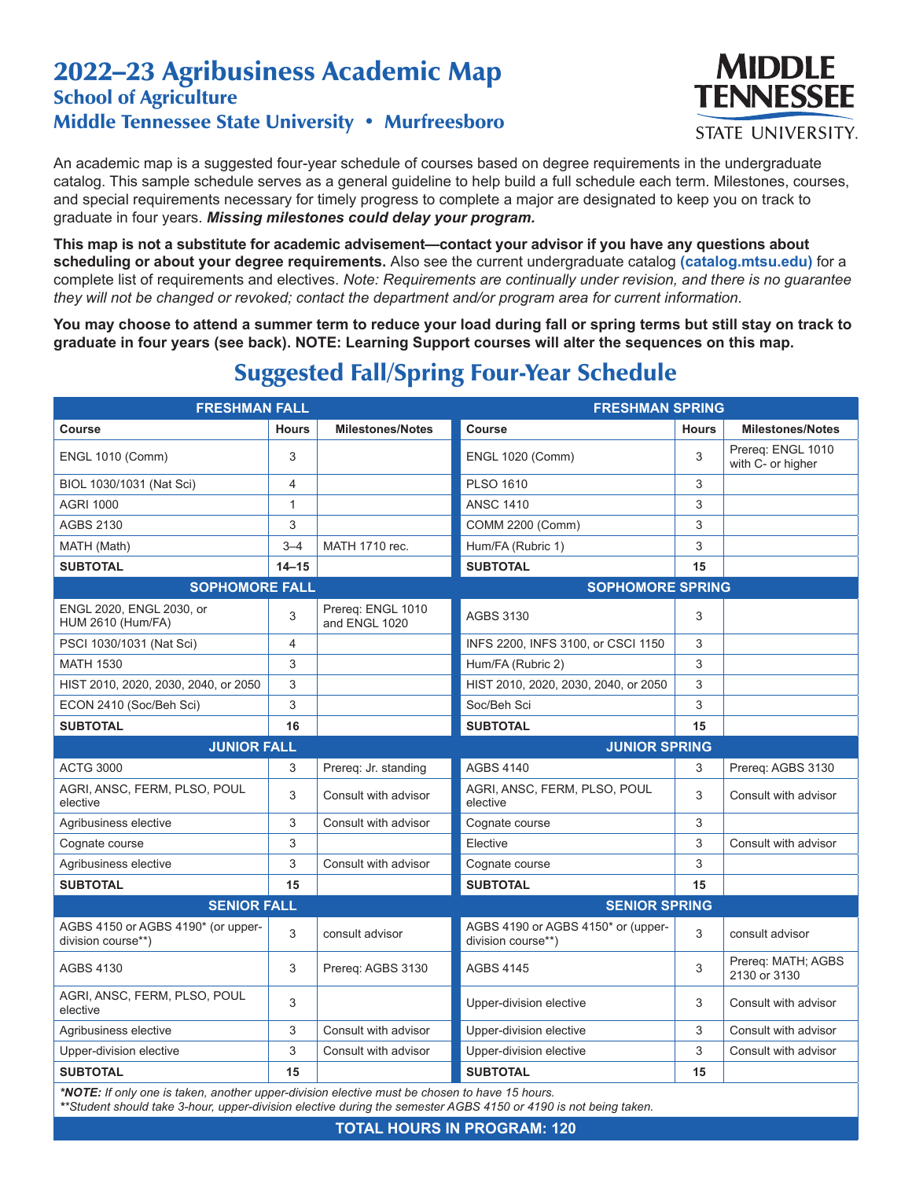## 2022–23 Agribusiness Academic Map School of Agriculture Middle Tennessee State University • Murfreesboro



An academic map is a suggested four-year schedule of courses based on degree requirements in the undergraduate catalog. This sample schedule serves as a general guideline to help build a full schedule each term. Milestones, courses, and special requirements necessary for timely progress to complete a major are designated to keep you on track to graduate in four years. *Missing milestones could delay your program.*

**This map is not a substitute for academic advisement—contact your advisor if you have any questions about scheduling or about your degree requirements.** Also see the current undergraduate catalog **(catalog.mtsu.edu)** for a complete list of requirements and electives. *Note: Requirements are continually under revision, and there is no guarantee they will not be changed or revoked; contact the department and/or program area for current information.*

**You may choose to attend a summer term to reduce your load during fall or spring terms but still stay on track to graduate in four years (see back). NOTE: Learning Support courses will alter the sequences on this map.**

| <b>FRESHMAN FALL</b>                                                                                                                                                                                             |                |                                    | <b>FRESHMAN SPRING</b>                                   |              |                                        |  |  |
|------------------------------------------------------------------------------------------------------------------------------------------------------------------------------------------------------------------|----------------|------------------------------------|----------------------------------------------------------|--------------|----------------------------------------|--|--|
| <b>Course</b>                                                                                                                                                                                                    | <b>Hours</b>   | <b>Milestones/Notes</b>            | <b>Course</b>                                            | <b>Hours</b> | <b>Milestones/Notes</b>                |  |  |
| <b>ENGL 1010 (Comm)</b>                                                                                                                                                                                          | 3              |                                    | <b>ENGL 1020 (Comm)</b>                                  | 3            | Prereg: ENGL 1010<br>with C- or higher |  |  |
| BIOL 1030/1031 (Nat Sci)                                                                                                                                                                                         | 4              |                                    | <b>PLSO 1610</b>                                         | 3            |                                        |  |  |
| <b>AGRI 1000</b>                                                                                                                                                                                                 | $\mathbf{1}$   |                                    | <b>ANSC 1410</b>                                         | 3            |                                        |  |  |
| <b>AGBS 2130</b>                                                                                                                                                                                                 | 3              |                                    | COMM 2200 (Comm)                                         | 3            |                                        |  |  |
| MATH (Math)                                                                                                                                                                                                      | $3 - 4$        | MATH 1710 rec.                     | Hum/FA (Rubric 1)                                        | 3            |                                        |  |  |
| <b>SUBTOTAL</b>                                                                                                                                                                                                  | $14 - 15$      |                                    | <b>SUBTOTAL</b>                                          | 15           |                                        |  |  |
| <b>SOPHOMORE FALL</b>                                                                                                                                                                                            |                |                                    | <b>SOPHOMORE SPRING</b>                                  |              |                                        |  |  |
| ENGL 2020, ENGL 2030, or<br><b>HUM 2610 (Hum/FA)</b>                                                                                                                                                             | 3              | Prereg: ENGL 1010<br>and ENGL 1020 | <b>AGBS 3130</b>                                         | 3            |                                        |  |  |
| PSCI 1030/1031 (Nat Sci)                                                                                                                                                                                         | $\overline{4}$ |                                    | INFS 2200, INFS 3100, or CSCI 1150                       | 3            |                                        |  |  |
| <b>MATH 1530</b>                                                                                                                                                                                                 | 3              |                                    | Hum/FA (Rubric 2)                                        | 3            |                                        |  |  |
| HIST 2010, 2020, 2030, 2040, or 2050                                                                                                                                                                             | 3              |                                    | HIST 2010, 2020, 2030, 2040, or 2050                     | 3            |                                        |  |  |
| ECON 2410 (Soc/Beh Sci)                                                                                                                                                                                          | 3              |                                    | Soc/Beh Sci                                              | 3            |                                        |  |  |
| <b>SUBTOTAL</b>                                                                                                                                                                                                  | 16             |                                    | <b>SUBTOTAL</b>                                          | 15           |                                        |  |  |
| <b>JUNIOR FALL</b>                                                                                                                                                                                               |                |                                    | <b>JUNIOR SPRING</b>                                     |              |                                        |  |  |
| <b>ACTG 3000</b>                                                                                                                                                                                                 | 3              | Prereq: Jr. standing               | <b>AGBS 4140</b>                                         | 3            | Prereq: AGBS 3130                      |  |  |
| AGRI, ANSC, FERM, PLSO, POUL<br>elective                                                                                                                                                                         | 3              | Consult with advisor               | AGRI, ANSC, FERM, PLSO, POUL<br>elective                 | 3            | Consult with advisor                   |  |  |
| Agribusiness elective                                                                                                                                                                                            | 3              | Consult with advisor               | Cognate course                                           | 3            |                                        |  |  |
| Cognate course                                                                                                                                                                                                   | 3              |                                    | Elective                                                 | 3            | Consult with advisor                   |  |  |
| Agribusiness elective                                                                                                                                                                                            | 3              | Consult with advisor               | Cognate course                                           | 3            |                                        |  |  |
| <b>SUBTOTAL</b>                                                                                                                                                                                                  | 15             |                                    | <b>SUBTOTAL</b>                                          | 15           |                                        |  |  |
| <b>SENIOR FALL</b>                                                                                                                                                                                               |                |                                    | <b>SENIOR SPRING</b>                                     |              |                                        |  |  |
| AGBS 4150 or AGBS 4190* (or upper-<br>division course**)                                                                                                                                                         | 3              | consult advisor                    | AGBS 4190 or AGBS 4150* or (upper-<br>division course**) | 3            | consult advisor                        |  |  |
| <b>AGBS 4130</b>                                                                                                                                                                                                 | 3              | Prereg: AGBS 3130                  | <b>AGBS 4145</b>                                         | 3            | Prereg: MATH; AGBS<br>2130 or 3130     |  |  |
| AGRI, ANSC, FERM, PLSO, POUL<br>elective                                                                                                                                                                         | 3              |                                    | Upper-division elective                                  | 3            | Consult with advisor                   |  |  |
| Agribusiness elective                                                                                                                                                                                            | 3              | Consult with advisor               | Upper-division elective                                  | 3            | Consult with advisor                   |  |  |
| Upper-division elective                                                                                                                                                                                          | 3              | Consult with advisor               | Upper-division elective                                  | 3            | Consult with advisor                   |  |  |
| <b>SUBTOTAL</b>                                                                                                                                                                                                  | 15             |                                    | <b>SUBTOTAL</b>                                          | 15           |                                        |  |  |
| *NOTE: If only one is taken, another upper-division elective must be chosen to have 15 hours.<br>**Student should take 3-hour, upper-division elective during the semester AGBS 4150 or 4190 is not being taken. |                |                                    |                                                          |              |                                        |  |  |

## Suggested Fall/Spring Four-Year Schedule

**TOTAL HOURS IN PROGRAM: 120**